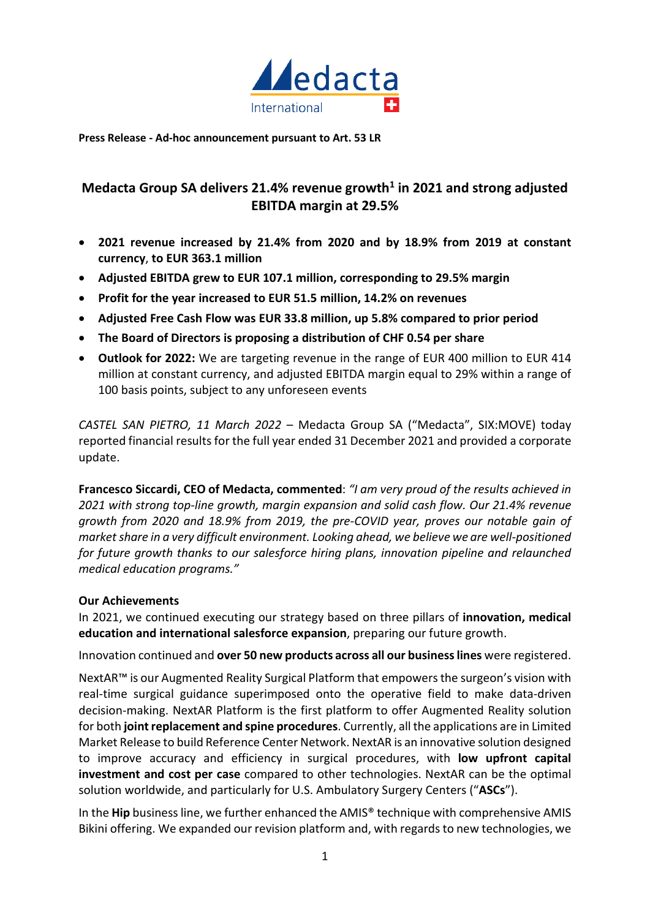

**Press Release - Ad-hoc announcement pursuant to Art. 53 LR** 

# **Medacta Group SA delivers 21.4% revenue growth<sup>1</sup> in 2021 and strong adjusted EBITDA margin at 29.5%**

- **2021 revenue increased by 21.4% from 2020 and by 18.9% from 2019 at constant currency**, **to EUR 363.1 million**
- **Adjusted EBITDA grew to EUR 107.1 million, corresponding to 29.5% margin**
- **Profit for the year increased to EUR 51.5 million, 14.2% on revenues**
- **Adjusted Free Cash Flow was EUR 33.8 million, up 5.8% compared to prior period**
- **The Board of Directors is proposing a distribution of CHF 0.54 per share**
- **Outlook for 2022:** We are targeting revenue in the range of EUR 400 million to EUR 414 million at constant currency, and adjusted EBITDA margin equal to 29% within a range of 100 basis points, subject to any unforeseen events

*CASTEL SAN PIETRO, 11 March 2022* – Medacta Group SA ("Medacta", SIX:MOVE) today reported financial results for the full year ended 31 December 2021 and provided a corporate update.

**Francesco Siccardi, CEO of Medacta, commented**: *"I am very proud of the results achieved in 2021 with strong top-line growth, margin expansion and solid cash flow. Our 21.4% revenue growth from 2020 and 18.9% from 2019, the pre-COVID year, proves our notable gain of market share in a very difficult environment. Looking ahead, we believe we are well-positioned for future growth thanks to our salesforce hiring plans, innovation pipeline and relaunched medical education programs."* 

# **Our Achievements**

In 2021, we continued executing our strategy based on three pillars of **innovation, medical education and international salesforce expansion**, preparing our future growth.

Innovation continued and **over 50 new products across all our business lines** were registered.

NextAR™ is our Augmented Reality Surgical Platform that empowers the surgeon's vision with real-time surgical guidance superimposed onto the operative field to make data-driven decision-making. NextAR Platform is the first platform to offer Augmented Reality solution for both **joint replacement and spine procedures**. Currently, all the applications are in Limited Market Release to build Reference Center Network. NextAR is an innovative solution designed to improve accuracy and efficiency in surgical procedures, with **low upfront capital investment and cost per case** compared to other technologies. NextAR can be the optimal solution worldwide, and particularly for U.S. Ambulatory Surgery Centers ("**ASCs**").

In the **Hip** business line, we further enhanced the AMIS® technique with comprehensive AMIS Bikini offering. We expanded our revision platform and, with regards to new technologies, we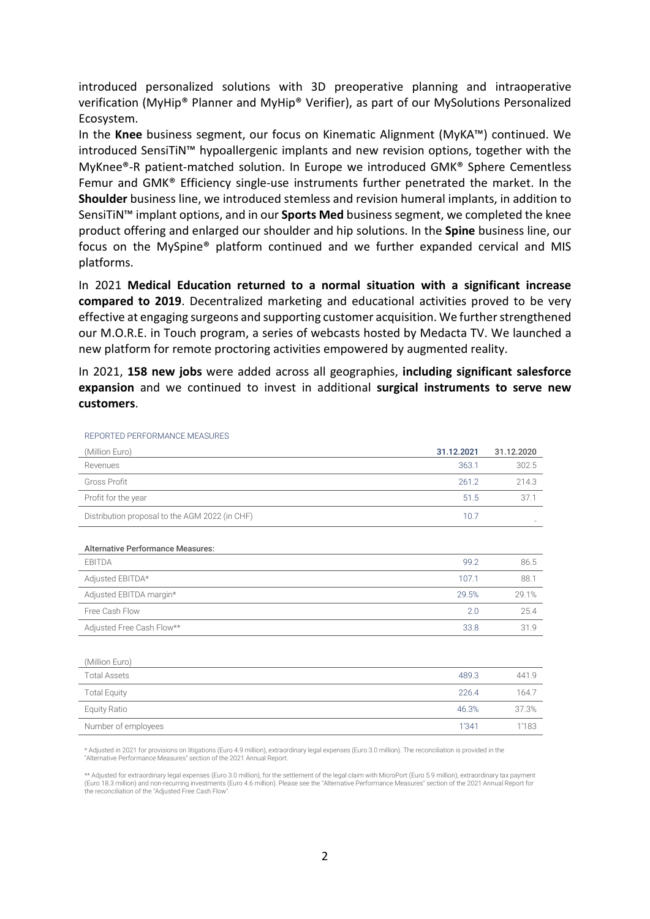introduced personalized solutions with 3D preoperative planning and intraoperative verification (MyHip® Planner and MyHip® Verifier), as part of our MySolutions Personalized Ecosystem.

In the **Knee** business segment, our focus on Kinematic Alignment (MyKA™) continued. We introduced SensiTiN™ hypoallergenic implants and new revision options, together with the MyKnee®-R patient-matched solution. In Europe we introduced GMK® Sphere Cementless Femur and GMK® Efficiency single-use instruments further penetrated the market. In the **Shoulder** business line, we introduced stemless and revision humeral implants, in addition to SensiTiN™ implant options, and in our **Sports Med** business segment, we completed the knee product offering and enlarged our shoulder and hip solutions. In the **Spine** business line, our focus on the MySpine® platform continued and we further expanded cervical and MIS platforms.

In 2021 **Medical Education returned to a normal situation with a significant increase compared to 2019**. Decentralized marketing and educational activities proved to be very effective at engaging surgeons and supporting customer acquisition. We further strengthened our M.O.R.E. in Touch program, a series of webcasts hosted by Medacta TV. We launched a new platform for remote proctoring activities empowered by augmented reality.

In 2021, **158 new jobs** were added across all geographies, **including significant salesforce expansion** and we continued to invest in additional **surgical instruments to serve new customers**.

| (Million Euro)                                 | 31.12.2021 | 31.12.2020 |
|------------------------------------------------|------------|------------|
| Revenues                                       | 363.1      | 302.5      |
| <b>Gross Profit</b>                            | 261.2      | 214.3      |
| Profit for the year                            | 51.5       | 37.1       |
| Distribution proposal to the AGM 2022 (in CHF) | 10.7       |            |
| <b>Alternative Performance Measures:</b>       |            |            |
| EBITDA                                         | 99.2       | 86.5       |
| Adjusted EBITDA*                               | 107.1      | 88.1       |
| Adjusted EBITDA margin*                        | 29.5%      | 29.1%      |
| Free Cash Flow                                 | 2.0        | 25.4       |
| Adjusted Free Cash Flow**                      | 33.8       | 31.9       |
| (Million Euro)                                 |            |            |
| <b>Total Assets</b>                            | 489.3      | 441.9      |
| <b>Total Equity</b>                            | 226.4      | 164.7      |
| <b>Equity Ratio</b>                            | 46.3%      | 37.3%      |
| Number of employees                            | 1'341      | 1'183      |

REPORTED PERFORMANCE MEASURES

Adjusted in 2021 for provisions on litigations (Euro 4.9 million), extraordinary legal expenses (Euro 3.0 million). The reconciliation is provided in the "Alternative Performance Measures" section of the 2021 Annual Report.

\*\* Adjusted for extraordinary legal expenses (Euro 3.0 million), for the settlement of the legal claim with MicroPort (Euro 5.9 million), extraordinary tax payment (Euro 18.3 million) and non-recurring investments (Euro 4.6 million). Please see the "Alternative Performance Measures" section of the 2021 Annual Report for the reconciliation of the "Adjusted Free Cash Flow".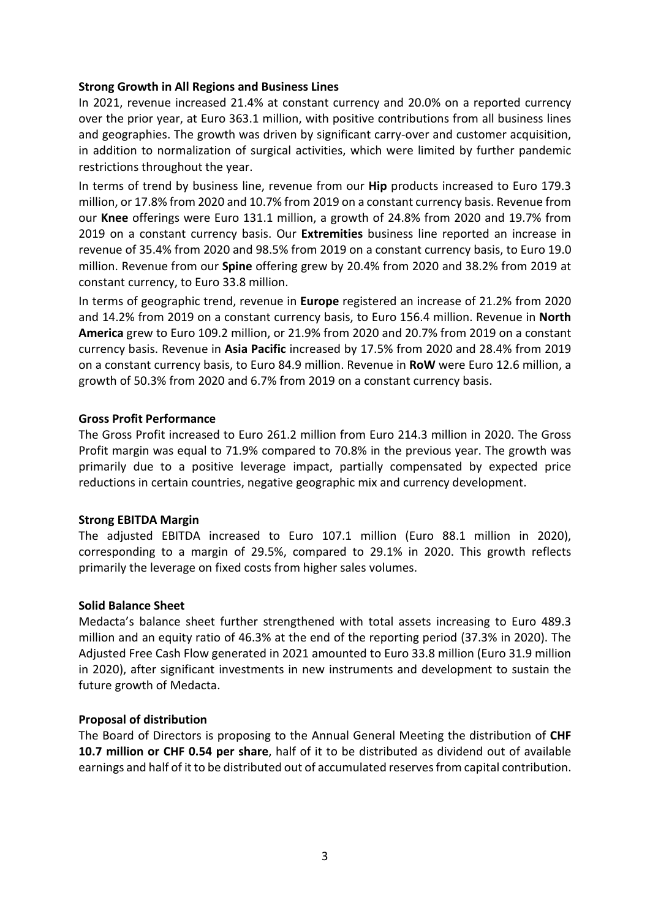## **Strong Growth in All Regions and Business Lines**

In 2021, revenue increased 21.4% at constant currency and 20.0% on a reported currency over the prior year, at Euro 363.1 million, with positive contributions from all business lines and geographies. The growth was driven by significant carry-over and customer acquisition, in addition to normalization of surgical activities, which were limited by further pandemic restrictions throughout the year.

In terms of trend by business line, revenue from our **Hip** products increased to Euro 179.3 million, or 17.8% from 2020 and 10.7% from 2019 on a constant currency basis. Revenue from our **Knee** offerings were Euro 131.1 million, a growth of 24.8% from 2020 and 19.7% from 2019 on a constant currency basis. Our **Extremities** business line reported an increase in revenue of 35.4% from 2020 and 98.5% from 2019 on a constant currency basis, to Euro 19.0 million. Revenue from our **Spine** offering grew by 20.4% from 2020 and 38.2% from 2019 at constant currency, to Euro 33.8 million.

In terms of geographic trend, revenue in **Europe** registered an increase of 21.2% from 2020 and 14.2% from 2019 on a constant currency basis, to Euro 156.4 million. Revenue in **North America** grew to Euro 109.2 million, or 21.9% from 2020 and 20.7% from 2019 on a constant currency basis. Revenue in **Asia Pacific** increased by 17.5% from 2020 and 28.4% from 2019 on a constant currency basis, to Euro 84.9 million. Revenue in **RoW** were Euro 12.6 million, a growth of 50.3% from 2020 and 6.7% from 2019 on a constant currency basis.

## **Gross Profit Performance**

The Gross Profit increased to Euro 261.2 million from Euro 214.3 million in 2020. The Gross Profit margin was equal to 71.9% compared to 70.8% in the previous year. The growth was primarily due to a positive leverage impact, partially compensated by expected price reductions in certain countries, negative geographic mix and currency development.

## **Strong EBITDA Margin**

The adjusted EBITDA increased to Euro 107.1 million (Euro 88.1 million in 2020), corresponding to a margin of 29.5%, compared to 29.1% in 2020. This growth reflects primarily the leverage on fixed costs from higher sales volumes.

## **Solid Balance Sheet**

Medacta's balance sheet further strengthened with total assets increasing to Euro 489.3 million and an equity ratio of 46.3% at the end of the reporting period (37.3% in 2020). The Adjusted Free Cash Flow generated in 2021 amounted to Euro 33.8 million (Euro 31.9 million in 2020), after significant investments in new instruments and development to sustain the future growth of Medacta.

## **Proposal of distribution**

The Board of Directors is proposing to the Annual General Meeting the distribution of **CHF 10.7 million or CHF 0.54 per share**, half of it to be distributed as dividend out of available earnings and half of it to be distributed out of accumulated reserves from capital contribution.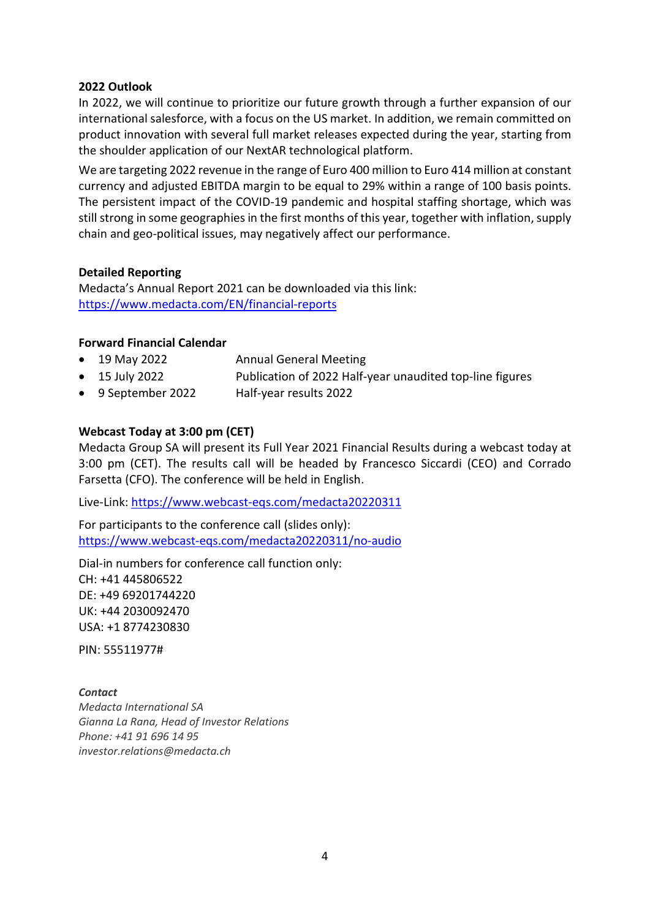## **2022 Outlook**

In 2022, we will continue to prioritize our future growth through a further expansion of our international salesforce, with a focus on the US market. In addition, we remain committed on product innovation with several full market releases expected during the year, starting from the shoulder application of our NextAR technological platform.

We are targeting 2022 revenue in the range of Euro 400 million to Euro 414 million at constant currency and adjusted EBITDA margin to be equal to 29% within a range of 100 basis points. The persistent impact of the COVID-19 pandemic and hospital staffing shortage, which was still strong in some geographies in the first months of this year, together with inflation, supply chain and geo-political issues, may negatively affect our performance.

### **Detailed Reporting**

Medacta's Annual Report 2021 can be downloaded via this link: <https://www.medacta.com/EN/financial-reports>

### **Forward Financial Calendar**

- 19 May 2022 Annual General Meeting
- 15 July 2022 Publication of 2022 Half-year unaudited top-line figures
- 9 September 2022 Half-year results 2022

## **Webcast Today at 3:00 pm (CET)**

Medacta Group SA will present its Full Year 2021 Financial Results during a webcast today at 3:00 pm (CET). The results call will be headed by Francesco Siccardi (CEO) and Corrado Farsetta (CFO). The conference will be held in English.

Live-Link: [https://www.webcast-eqs.com/medacta20220311](https://linkprotect.cudasvc.com/url?a=https%3a%2f%2fwww.webcast-eqs.com%2fmedacta20220311&c=E,1,2G2CBcsf_7MByLK7N_B93MzLM3C0XOmB5ZiyX2qQUrweyeuFhT7bemqxoxPuZbQid_h1s-NwVfTMeQJY9mG9CYdrYCgKw68Rh76J7nX-1wF3AFXc7dcGW8c,&typo=1)

For participants to the conference call (slides only): [https://www.webcast-eqs.com/medacta20220311/no-audio](https://linkprotect.cudasvc.com/url?a=https%3a%2f%2fwww.webcast-eqs.com%2fmedacta20220311%2fno-audio&c=E,1,vZ9aV1MT32XtUOoUT6m1Yrtf9-6IqwBhmO3rkEc97WmXBp3e6zw8lSPIx5nsd18n9zq0TjDTdXx0vcksfdz27nEV2nWQTDAL8OHYVRdD&typo=1)

Dial-in numbers for conference call function only: CH: +41 445806522 DE: +49 69201744220 UK: +44 2030092470 USA: +1 8774230830

PIN: 55511977#

#### *Contact*

*Medacta International SA Gianna La Rana, Head of Investor Relations Phone: +41 91 696 14 95 investor.relations@medacta.ch*